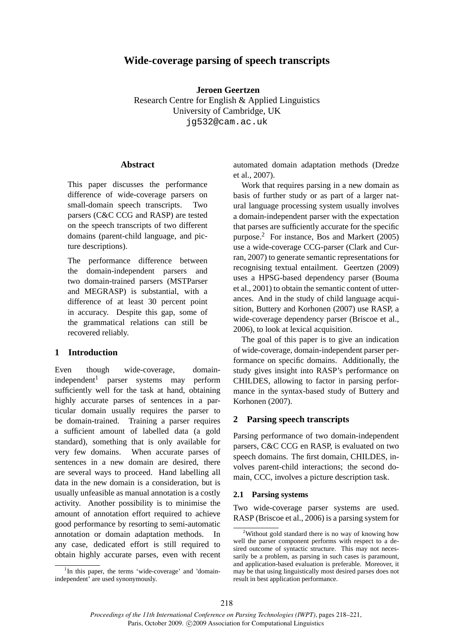# **Wide-coverage parsing of speech transcripts**

**Jeroen Geertzen** Research Centre for English & Applied Linguistics University of Cambridge, UK jg532@cam.ac.uk

#### **Abstract**

This paper discusses the performance difference of wide-coverage parsers on small-domain speech transcripts. Two parsers (C&C CCG and RASP) are tested on the speech transcripts of two different domains (parent-child language, and picture descriptions).

The performance difference between the domain-independent parsers and two domain-trained parsers (MSTParser and MEGRASP) is substantial, with a difference of at least 30 percent point in accuracy. Despite this gap, some of the grammatical relations can still be recovered reliably.

## **1 Introduction**

Even though wide-coverage, domainindependent<sup>1</sup> parser systems may perform sufficiently well for the task at hand, obtaining highly accurate parses of sentences in a particular domain usually requires the parser to be domain-trained. Training a parser requires a sufficient amount of labelled data (a gold standard), something that is only available for very few domains. When accurate parses of sentences in a new domain are desired, there are several ways to proceed. Hand labelling all data in the new domain is a consideration, but is usually unfeasible as manual annotation is a costly activity. Another possibility is to minimise the amount of annotation effort required to achieve good performance by resorting to semi-automatic annotation or domain adaptation methods. In any case, dedicated effort is still required to obtain highly accurate parses, even with recent automated domain adaptation methods (Dredze et al., 2007).

Work that requires parsing in a new domain as basis of further study or as part of a larger natural language processing system usually involves a domain-independent parser with the expectation that parses are sufficiently accurate for the specific purpose.<sup>2</sup> For instance, Bos and Markert (2005) use a wide-coverage CCG-parser (Clark and Curran, 2007) to generate semantic representations for recognising textual entailment. Geertzen (2009) uses a HPSG-based dependency parser (Bouma et al., 2001) to obtain the semantic content of utterances. And in the study of child language acquisition, Buttery and Korhonen (2007) use RASP, a wide-coverage dependency parser (Briscoe et al., 2006), to look at lexical acquisition.

The goal of this paper is to give an indication of wide-coverage, domain-independent parser performance on specific domains. Additionally, the study gives insight into RASP's performance on CHILDES, allowing to factor in parsing performance in the syntax-based study of Buttery and Korhonen (2007).

## **2 Parsing speech transcripts**

Parsing performance of two domain-independent parsers, C&C CCG en RASP, is evaluated on two speech domains. The first domain, CHILDES, involves parent-child interactions; the second domain, CCC, involves a picture description task.

#### **2.1 Parsing systems**

Two wide-coverage parser systems are used. RASP (Briscoe et al., 2006) is a parsing system for

<sup>&</sup>lt;sup>1</sup>In this paper, the terms 'wide-coverage' and 'domainindependent' are used synonymously.

<sup>&</sup>lt;sup>2</sup>Without gold standard there is no way of knowing how well the parser component performs with respect to a desired outcome of syntactic structure. This may not necessarily be a problem, as parsing in such cases is paramount, and application-based evaluation is preferable. Moreover, it may be that using linguistically most desired parses does not result in best application performance.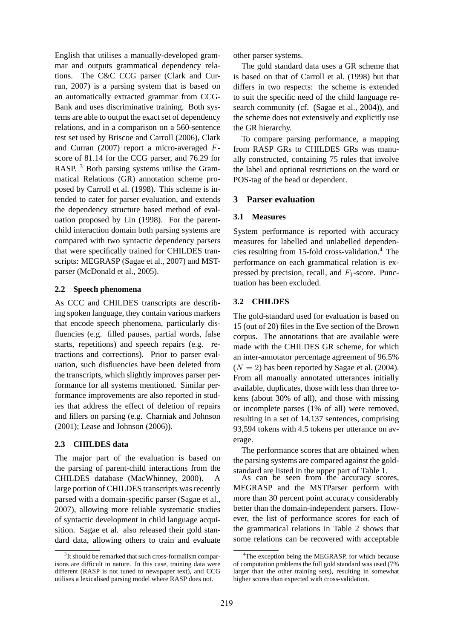English that utilises a manually-developed grammar and outputs grammatical dependency relations. The C&C CCG parser (Clark and Curran, 2007) is a parsing system that is based on an automatically extracted grammar from CCG-Bank and uses discriminative training. Both systems are able to output the exact set of dependency relations, and in a comparison on a 560-sentence test set used by Briscoe and Carroll (2006), Clark and Curran (2007) report a micro-averaged Fscore of 81.14 for the CCG parser, and 76.29 for RASP.<sup>3</sup> Both parsing systems utilise the Grammatical Relations (GR) annotation scheme proposed by Carroll et al. (1998). This scheme is intended to cater for parser evaluation, and extends the dependency structure based method of evaluation proposed by Lin (1998). For the parentchild interaction domain both parsing systems are compared with two syntactic dependency parsers that were specifically trained for CHILDES transcripts: MEGRASP (Sagae et al., 2007) and MSTparser (McDonald et al., 2005).

## **2.2 Speech phenomena**

As CCC and CHILDES transcripts are describing spoken language, they contain various markers that encode speech phenomena, particularly disfluencies (e.g. filled pauses, partial words, false starts, repetitions) and speech repairs (e.g. retractions and corrections). Prior to parser evaluation, such disfluencies have been deleted from the transcripts, which slightly improves parser performance for all systems mentioned. Similar performance improvements are also reported in studies that address the effect of deletion of repairs and fillers on parsing (e.g. Charniak and Johnson (2001); Lease and Johnson (2006)).

## **2.3 CHILDES data**

The major part of the evaluation is based on the parsing of parent-child interactions from the CHILDES database (MacWhinney, 2000). A large portion of CHILDES transcripts was recently parsed with a domain-specific parser (Sagae et al., 2007), allowing more reliable systematic studies of syntactic development in child language acquisition. Sagae et al. also released their gold standard data, allowing others to train and evaluate other parser systems.

The gold standard data uses a GR scheme that is based on that of Carroll et al. (1998) but that differs in two respects: the scheme is extended to suit the specific need of the child language research community (cf. (Sagae et al., 2004)), and the scheme does not extensively and explicitly use the GR hierarchy.

To compare parsing performance, a mapping from RASP GRs to CHILDES GRs was manually constructed, containing 75 rules that involve the label and optional restrictions on the word or POS-tag of the head or dependent.

# **3 Parser evaluation**

## **3.1 Measures**

System performance is reported with accuracy measures for labelled and unlabelled dependencies resulting from 15-fold cross-validation.<sup>4</sup> The performance on each grammatical relation is expressed by precision, recall, and  $F_1$ -score. Punctuation has been excluded.

## **3.2 CHILDES**

The gold-standard used for evaluation is based on 15 (out of 20) files in the Eve section of the Brown corpus. The annotations that are available were made with the CHILDES GR scheme, for which an inter-annotator percentage agreement of 96.5%  $(N = 2)$  has been reported by Sagae et al. (2004). From all manually annotated utterances initially available, duplicates, those with less than three tokens (about 30% of all), and those with missing or incomplete parses (1% of all) were removed, resulting in a set of 14.137 sentences, comprising 93,594 tokens with 4.5 tokens per utterance on average.

The performance scores that are obtained when the parsing systems are compared against the goldstandard are listed in the upper part of Table 1.

As can be seen from the accuracy scores, MEGRASP and the MSTParser perform with more than 30 percent point accuracy considerably better than the domain-independent parsers. However, the list of performance scores for each of the grammatical relations in Table 2 shows that some relations can be recovered with acceptable

<sup>&</sup>lt;sup>3</sup>It should be remarked that such cross-formalism comparisons are difficult in nature. In this case, training data were different (RASP is not tuned to newspaper text), and CCG utilises a lexicalised parsing model where RASP does not.

<sup>&</sup>lt;sup>4</sup>The exception being the MEGRASP, for which because of computation problems the full gold standard was used (7% larger than the other training sets), resulting in somewhat higher scores than expected with cross-validation.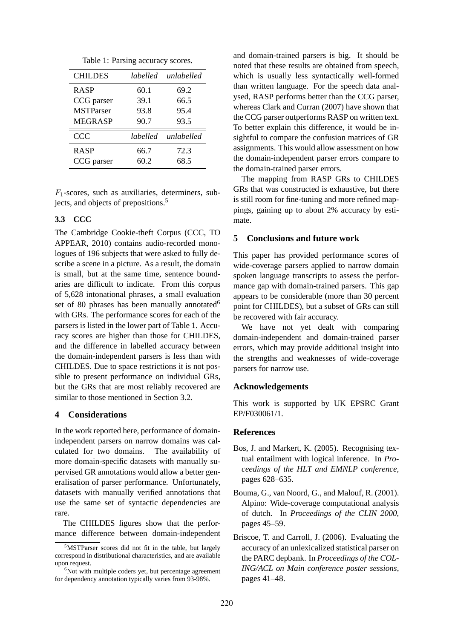Table 1: Parsing accuracy scores.

| <b>CHILDES</b>   | labelled | unlabelled |
|------------------|----------|------------|
| <b>RASP</b>      | 60.1     | 69.2       |
| CCG parser       | 39.1     | 66.5       |
| <b>MSTParser</b> | 93.8     | 95.4       |
| <b>MEGRASP</b>   | 90.7     | 93.5       |
| <b>CCC</b>       | labelled | unlabelled |
|                  |          |            |
| <b>RASP</b>      | 66.7     | 72.3       |

 $F_1$ -scores, such as auxiliaries, determiners, subjects, and objects of prepositions.<sup>5</sup>

#### **3.3 CCC**

The Cambridge Cookie-theft Corpus (CCC, TO APPEAR, 2010) contains audio-recorded monologues of 196 subjects that were asked to fully describe a scene in a picture. As a result, the domain is small, but at the same time, sentence boundaries are difficult to indicate. From this corpus of 5,628 intonational phrases, a small evaluation set of 80 phrases has been manually annotated  $6$ with GRs. The performance scores for each of the parsers is listed in the lower part of Table 1. Accuracy scores are higher than those for CHILDES, and the difference in labelled accuracy between the domain-independent parsers is less than with CHILDES. Due to space restrictions it is not possible to present performance on individual GRs, but the GRs that are most reliably recovered are similar to those mentioned in Section 3.2.

#### **4 Considerations**

In the work reported here, performance of domainindependent parsers on narrow domains was calculated for two domains. The availability of more domain-specific datasets with manually supervised GR annotations would allow a better generalisation of parser performance. Unfortunately, datasets with manually verified annotations that use the same set of syntactic dependencies are rare.

The CHILDES figures show that the performance difference between domain-independent and domain-trained parsers is big. It should be noted that these results are obtained from speech, which is usually less syntactically well-formed than written language. For the speech data analysed, RASP performs better than the CCG parser, whereas Clark and Curran (2007) have shown that the CCG parser outperforms RASP on written text. To better explain this difference, it would be insightful to compare the confusion matrices of GR assignments. This would allow assessment on how the domain-independent parser errors compare to the domain-trained parser errors.

The mapping from RASP GRs to CHILDES GRs that was constructed is exhaustive, but there is still room for fine-tuning and more refined mappings, gaining up to about 2% accuracy by estimate.

## **5 Conclusions and future work**

This paper has provided performance scores of wide-coverage parsers applied to narrow domain spoken language transcripts to assess the performance gap with domain-trained parsers. This gap appears to be considerable (more than 30 percent point for CHILDES), but a subset of GRs can still be recovered with fair accuracy.

We have not yet dealt with comparing domain-independent and domain-trained parser errors, which may provide additional insight into the strengths and weaknesses of wide-coverage parsers for narrow use.

#### **Acknowledgements**

This work is supported by UK EPSRC Grant EP/F030061/1.

#### **References**

- Bos, J. and Markert, K. (2005). Recognising textual entailment with logical inference. In *Proceedings of the HLT and EMNLP conference*, pages 628–635.
- Bouma, G., van Noord, G., and Malouf, R. (2001). Alpino: Wide-coverage computational analysis of dutch. In *Proceedings of the CLIN 2000*, pages 45–59.
- Briscoe, T. and Carroll, J. (2006). Evaluating the accuracy of an unlexicalized statistical parser on the PARC depbank. In *Proceedings of the COL-ING/ACL on Main conference poster sessions*, pages 41–48.

<sup>5</sup>MSTParser scores did not fit in the table, but largely correspond in distributional characteristics, and are available upon request.

 $6$ Not with multiple coders yet, but percentage agreement for dependency annotation typically varies from 93-98%.